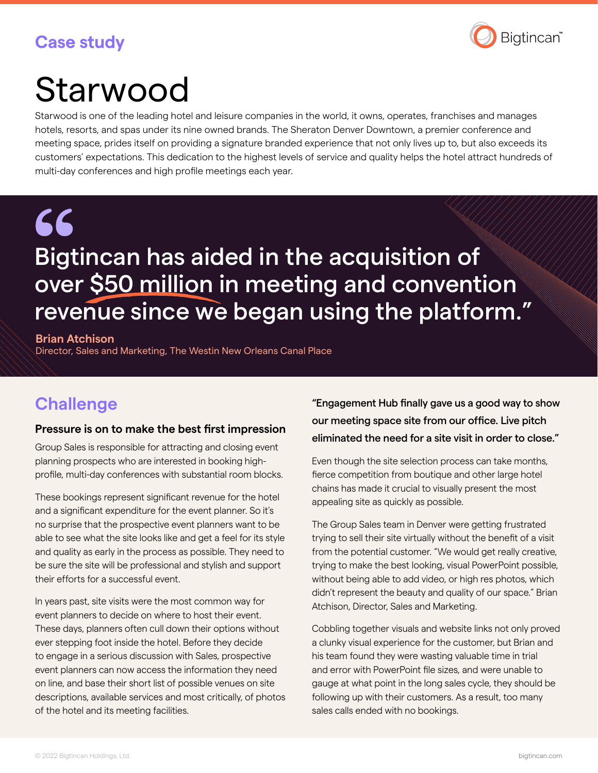## **Case study**



# Starwood

Starwood is one of the leading hotel and leisure companies in the world, it owns, operates, franchises and manages hotels, resorts, and spas under its nine owned brands. The Sheraton Denver Downtown, a premier conference and meeting space, prides itself on providing a signature branded experience that not only lives up to, but also exceeds its customers' expectations. This dedication to the highest levels of service and quality helps the hotel attract hundreds of multi-day conferences and high profile meetings each year.

## 66 Bigtincan has aided in the acquisition of over \$50 million in meeting and convention revenue since we began using the platform."

**Brian Atchison** Director, Sales and Marketing, The Westin New Orleans Canal Place

## **Challenge**

#### **Pressure is on to make the best first impression**

Group Sales is responsible for attracting and closing event planning prospects who are interested in booking highprofile, multi-day conferences with substantial room blocks.

These bookings represent significant revenue for the hotel and a significant expenditure for the event planner. So it's no surprise that the prospective event planners want to be able to see what the site looks like and get a feel for its style and quality as early in the process as possible. They need to be sure the site will be professional and stylish and support their efforts for a successful event.

In years past, site visits were the most common way for event planners to decide on where to host their event. These days, planners often cull down their options without ever stepping foot inside the hotel. Before they decide to engage in a serious discussion with Sales, prospective event planners can now access the information they need on line, and base their short list of possible venues on site descriptions, available services and most critically, of photos of the hotel and its meeting facilities.

"Engagement Hub finally gave us a good way to show our meeting space site from our office. Live pitch eliminated the need for a site visit in order to close."

Even though the site selection process can take months, fierce competition from boutique and other large hotel chains has made it crucial to visually present the most appealing site as quickly as possible.

The Group Sales team in Denver were getting frustrated trying to sell their site virtually without the benefit of a visit from the potential customer. "We would get really creative, trying to make the best looking, visual PowerPoint possible, without being able to add video, or high res photos, which didn't represent the beauty and quality of our space." Brian Atchison, Director, Sales and Marketing.

Cobbling together visuals and website links not only proved a clunky visual experience for the customer, but Brian and his team found they were wasting valuable time in trial and error with PowerPoint file sizes, and were unable to gauge at what point in the long sales cycle, they should be following up with their customers. As a result, too many sales calls ended with no bookings.